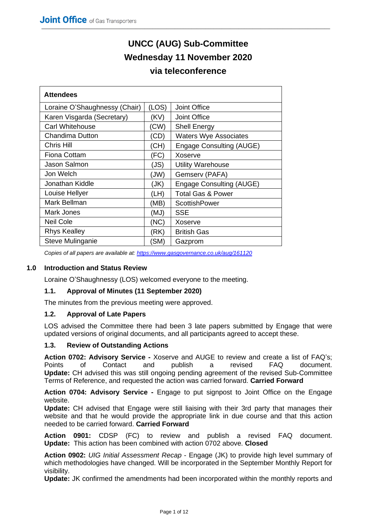# **UNCC (AUG) Sub-Committee Wednesday 11 November 2020**

## **via teleconference**

| <b>Attendees</b>              |       |                              |  |  |  |  |
|-------------------------------|-------|------------------------------|--|--|--|--|
| Loraine O'Shaughnessy (Chair) | (LOS) | Joint Office                 |  |  |  |  |
| Karen Visgarda (Secretary)    | (KV)  | <b>Joint Office</b>          |  |  |  |  |
| Carl Whitehouse               | (CW)  | <b>Shell Energy</b>          |  |  |  |  |
| Chandima Dutton               | (CD)  | <b>Waters Wye Associates</b> |  |  |  |  |
| Chris Hill                    | (CH)  | Engage Consulting (AUGE)     |  |  |  |  |
| <b>Fiona Cottam</b>           | (FC)  | Xoserve                      |  |  |  |  |
| Jason Salmon                  | (JS)  | <b>Utility Warehouse</b>     |  |  |  |  |
| Jon Welch                     | (JW)  | Gemserv (PAFA)               |  |  |  |  |
| Jonathan Kiddle               | (JK)  | Engage Consulting (AUGE)     |  |  |  |  |
| Louise Hellyer                | (LH)  | <b>Total Gas &amp; Power</b> |  |  |  |  |
| Mark Bellman                  | (MB)  | ScottishPower                |  |  |  |  |
| Mark Jones                    | (MJ)  | <b>SSE</b>                   |  |  |  |  |
| <b>Neil Cole</b>              | (NC)  | Xoserve                      |  |  |  |  |
| <b>Rhys Kealley</b>           | (RK)  | <b>British Gas</b>           |  |  |  |  |
| Steve Mulinganie              | 'SM)  | Gazprom                      |  |  |  |  |

*Copies of all papers are available at: <https://www.gasgovernance.co.uk/aug/161120>*

#### **1.0 Introduction and Status Review**

Loraine O'Shaughnessy (LOS) welcomed everyone to the meeting.

#### **1.1. Approval of Minutes (11 September 2020)**

The minutes from the previous meeting were approved.

#### **1.2. Approval of Late Papers**

LOS advised the Committee there had been 3 late papers submitted by Engage that were updated versions of original documents, and all participants agreed to accept these.

#### **1.3. Review of Outstanding Actions**

**Action 0702: Advisory Service -** Xoserve and AUGE to review and create a list of FAQ's; Points of Contact and publish a revised FAQ document. **Update:** CH advised this was still ongoing pending agreement of the revised Sub-Committee Terms of Reference, and requested the action was carried forward. **Carried Forward**

**Action 0704: Advisory Service -** Engage to put signpost to Joint Office on the Engage website.

**Update:** CH advised that Engage were still liaising with their 3rd party that manages their website and that he would provide the appropriate link in due course and that this action needed to be carried forward. **Carried Forward**

**Action 0901:** CDSP (FC) to review and publish a revised FAQ document. **Update:** This action has been combined with action 0702 above. **Closed**

**Action 0902:** *UIG Initial Assessment Recap* - Engage (JK) to provide high level summary of which methodologies have changed. Will be incorporated in the September Monthly Report for visibility.

**Update:** JK confirmed the amendments had been incorporated within the monthly reports and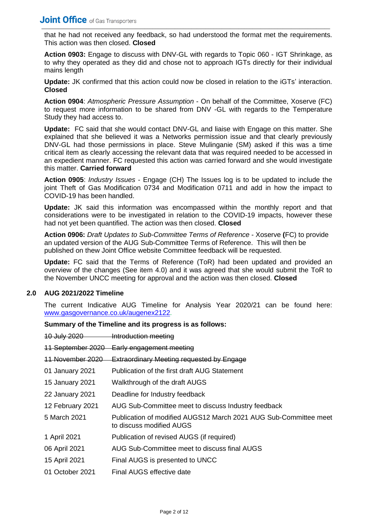that he had not received any feedback, so had understood the format met the requirements. This action was then closed. **Closed** 

**Action 0903:** Engage to discuss with DNV-GL with regards to Topic 060 - IGT Shrinkage, as to why they operated as they did and chose not to approach IGTs directly for their individual mains length

**Update:** JK confirmed that this action could now be closed in relation to the iGTs' interaction. **Closed** 

**Action 0904**: *Atmospheric Pressure Assumption* - On behalf of the Committee, Xoserve (FC) to request more information to be shared from DNV -GL with regards to the Temperature Study they had access to.

**Update:** FC said that she would contact DNV-GL and liaise with Engage on this matter. She explained that she believed it was a Networks permission issue and that clearly previously DNV-GL had those permissions in place. Steve Mulinganie (SM) asked if this was a time critical item as clearly accessing the relevant data that was required needed to be accessed in an expedient manner. FC requested this action was carried forward and she would investigate this matter. **Carried forward**

**Action 0905**: *Industry Issues* - Engage (CH) The Issues log is to be updated to include the joint Theft of Gas Modification 0734 and Modification 0711 and add in how the impact to COVID-19 has been handled.

**Update:** JK said this information was encompassed within the monthly report and that considerations were to be investigated in relation to the COVID-19 impacts, however these had not yet been quantified. The action was then closed. **Closed** 

**Action 0906:** *Draft Updates to Sub-Committee Terms of Reference* - Xoserve **(**FC) to provide an updated version of the AUG Sub-Committee Terms of Reference. This will then be published on thew Joint Office website Committee feedback will be requested.

**Update:** FC said that the Terms of Reference (ToR) had been updated and provided an overview of the changes (See item 4.0) and it was agreed that she would submit the ToR to the November UNCC meeting for approval and the action was then closed. **Closed** 

#### **2.0 AUG 2021/2022 Timeline**

The current Indicative AUG Timeline for Analysis Year 2020/21 can be found here: [www.gasgovernance.co.uk/augenex2122.](http://www.gasgovernance.co.uk/augenex2122)

#### **Summary of the Timeline and its progress is as follows:**

10 July 2020 Introduction meeting

11 September 2020 Early engagement meeting

| <u> 11 November 2020.</u> | <b>Extraordinary Meeting requested by Engage</b>                                             |
|---------------------------|----------------------------------------------------------------------------------------------|
| 01 January 2021           | Publication of the first draft AUG Statement                                                 |
| <b>15 January 2021</b>    | Walkthrough of the draft AUGS                                                                |
| 22 January 2021           | Deadline for Industry feedback                                                               |
| 12 February 2021          | AUG Sub-Committee meet to discuss Industry feedback                                          |
| 5 March 2021              | Publication of modified AUGS12 March 2021 AUG Sub-Committee meet<br>to discuss modified AUGS |
| 1 April 2021              | Publication of revised AUGS (if required)                                                    |
| 06 April 2021             | AUG Sub-Committee meet to discuss final AUGS                                                 |
| 15 April 2021             | Final AUGS is presented to UNCC                                                              |
| 01 October 2021           | Final AUGS effective date                                                                    |
|                           |                                                                                              |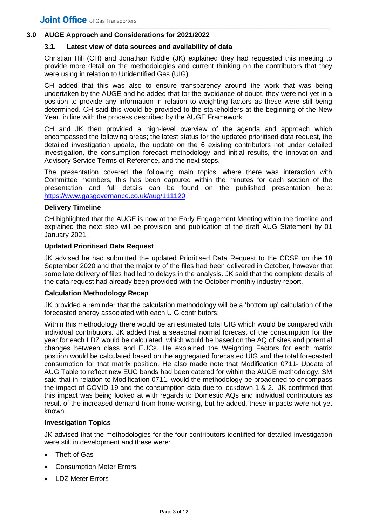#### **3.0 AUGE Approach and Considerations for 2021/2022**

#### **3.1. Latest view of data sources and availability of data**

Christian Hill (CH) and Jonathan Kiddle (JK) explained they had requested this meeting to provide more detail on the methodologies and current thinking on the contributors that they were using in relation to Unidentified Gas (UIG).

CH added that this was also to ensure transparency around the work that was being undertaken by the AUGE and he added that for the avoidance of doubt, they were not yet in a position to provide any information in relation to weighting factors as these were still being determined. CH said this would be provided to the stakeholders at the beginning of the New Year, in line with the process described by the AUGE Framework.

CH and JK then provided a high-level overview of the agenda and approach which encompassed the following areas; the latest status for the updated prioritised data request, the detailed investigation update, the update on the 6 existing contributors not under detailed investigation, the consumption forecast methodology and initial results, the innovation and Advisory Service Terms of Reference, and the next steps.

The presentation covered the following main topics, where there was interaction with Committee members, this has been captured within the minutes for each section of the presentation and full details can be found on the published presentation here: <https://www.gasgovernance.co.uk/aug/111120>

#### **Delivery Timeline**

CH highlighted that the AUGE is now at the Early Engagement Meeting within the timeline and explained the next step will be provision and publication of the draft AUG Statement by 01 January 2021.

#### **Updated Prioritised Data Request**

JK advised he had submitted the updated Prioritised Data Request to the CDSP on the 18 September 2020 and that the majority of the files had been delivered in October, however that some late delivery of files had led to delays in the analysis. JK said that the complete details of the data request had already been provided with the October monthly industry report.

#### **Calculation Methodology Recap**

JK provided a reminder that the calculation methodology will be a 'bottom up' calculation of the forecasted energy associated with each UIG contributors.

Within this methodology there would be an estimated total UIG which would be compared with individual contributors. JK added that a seasonal normal forecast of the consumption for the year for each LDZ would be calculated, which would be based on the AQ of sites and potential changes between class and EUCs. He explained the Weighting Factors for each matrix position would be calculated based on the aggregated forecasted UIG and the total forecasted consumption for that matrix position. He also made note that Modification 0711- Update of AUG Table to reflect new EUC bands had been catered for within the AUGE methodology. SM said that in relation to Modification 0711, would the methodology be broadened to encompass the impact of COVID-19 and the consumption data due to lockdown 1 & 2. JK confirmed that this impact was being looked at with regards to Domestic AQs and individual contributors as result of the increased demand from home working, but he added, these impacts were not yet known.

#### **Investigation Topics**

JK advised that the methodologies for the four contributors identified for detailed investigation were still in development and these were:

- Theft of Gas
- Consumption Meter Errors
- LDZ Meter Errors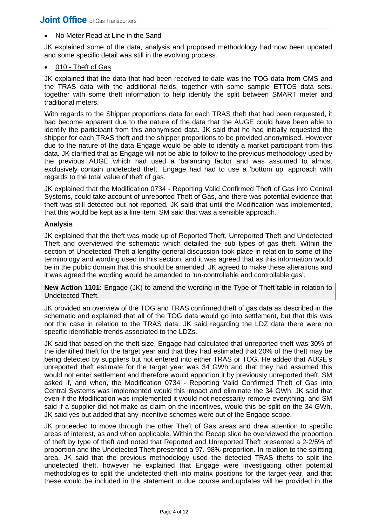#### • No Meter Read at Line in the Sand

JK explained some of the data, analysis and proposed methodology had now been updated and some specific detail was still in the evolving process.

#### 010 - Theft of Gas

JK explained that the data that had been received to date was the TOG data from CMS and the TRAS data with the additional fields, together with some sample ETTOS data sets, together with some theft information to help identify the split between SMART meter and traditional meters.

With regards to the Shipper proportions data for each TRAS theft that had been requested, it had become apparent due to the nature of the data that the AUGE could have been able to identify the participant from this anonymised data. JK said that he had initially requested the shipper for each TRAS theft and the shipper proportions to be provided anonymised. However due to the nature of the data Engage would be able to identify a market participant from this data. JK clarified that as Engage will not be able to follow to the previous methodology used by the previous AUGE which had used a 'balancing factor and was assumed to almost exclusively contain undetected theft, Engage had had to use a 'bottom up' approach with regards to the total value of theft of gas.

JK explained that the Modification 0734 - Reporting Valid Confirmed Theft of Gas into Central Systems, could take account of unreported Theft of Gas, and there was potential evidence that theft was still detected but not reported. JK said that until the Modification was implemented, that this would be kept as a line item. SM said that was a sensible approach.

#### **Analysis**

JK explained that the theft was made up of Reported Theft, Unreported Theft and Undetected Theft and overviewed the schematic which detailed the sub types of gas theft. Within the section of Undetected Theft a lengthy general discussion took place in relation to some of the terminology and wording used in this section, and it was agreed that as this information would be in the public domain that this should be amended. JK agreed to make these alterations and it was agreed the wording would be amended to 'un-controllable and controllable gas'.

**New Action 1101:** Engage (JK) to amend the wording in the Type of Theft table in relation to Undetected Theft.

JK provided an overview of the TOG and TRAS confirmed theft of gas data as described in the schematic and explained that all of the TOG data would go into settlement, but that this was not the case in relation to the TRAS data. JK said regarding the LDZ data there were no specific identifiable trends associated to the LDZs.

JK said that based on the theft size, Engage had calculated that unreported theft was 30% of the identified theft for the target year and that they had estimated that 20% of the theft may be being detected by suppliers but not entered into either TRAS or TOG. He added that AUGE's unreported theft estimate for the target year was 34 GWh and that they had assumed this would not enter settlement and therefore would apportion it by previously unreported theft. SM asked if, and when, the Modification 0734 - Reporting Valid Confirmed Theft of Gas into Central Systems was implemented would this impact and eliminate the 34 GWh. JK said that even if the Modification was implemented it would not necessarily remove everything, and SM said if a supplier did not make as claim on the incentives, would this be split on the 34 GWh, JK said yes but added that any incentive schemes were out of the Engage scope.

JK proceeded to move through the other Theft of Gas areas and drew attention to specific areas of interest, as and when applicable. Within the Recap slide he overviewed the proportion of theft by type of theft and noted that Reported and Unreported Theft presented a 2-2/5% of proportion and the Undetected Theft presented a 97.-98% proportion. In relation to the splitting area, JK said that the previous methodology used the detected TRAS thefts to split the undetected theft, however he explained that Engage were investigating other potential methodologies to split the undetected theft into matrix positions for the target year, and that these would be included in the statement in due course and updates will be provided in the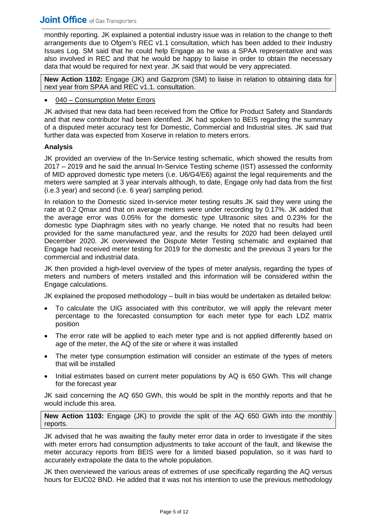monthly reporting. JK explained a potential industry issue was in relation to the change to theft arrangements due to Ofgem's REC v1.1 consultation, which has been added to their Industry Issues Log. SM said that he could help Engage as he was a SPAA representative and was also involved in REC and that he would be happy to liaise in order to obtain the necessary data that would be required for next year. JK said that would be very appreciated.

**New Action 1102:** Engage (JK) and Gazprom (SM) to liaise in relation to obtaining data for next year from SPAA and REC v1.1. consultation.

#### 040 – Consumption Meter Errors

JK advised that new data had been received from the Office for Product Safety and Standards and that new contributor had been identified. JK had spoken to BEIS regarding the summary of a disputed meter accuracy test for Domestic, Commercial and Industrial sites. JK said that further data was expected from Xoserve in relation to meters errors.

#### **Analysis**

JK provided an overview of the In-Service testing schematic, which showed the results from 2017 – 2019 and he said the annual In-Service Testing scheme (IST) assessed the conformity of MID approved domestic type meters (i.e. U6/G4/E6) against the legal requirements and the meters were sampled at 3 year intervals although, to date, Engage only had data from the first (i.e.3 year) and second (i.e. 6 year) sampling period.

In relation to the Domestic sized In-service meter testing results JK said they were using the rate at 0.2 Qmax and that on average meters were under recording by 0.17%. JK added that the average error was 0.05% for the domestic type Ultrasonic sites and 0.23% for the domestic type Diaphragm sites with no yearly change. He noted that no results had been provided for the same manufactured year, and the results for 2020 had been delayed until December 2020. JK overviewed the Dispute Meter Testing schematic and explained that Engage had received meter testing for 2019 for the domestic and the previous 3 years for the commercial and industrial data.

JK then provided a high-level overview of the types of meter analysis, regarding the types of meters and numbers of meters installed and this information will be considered within the Engage calculations.

JK explained the proposed methodology – built in bias would be undertaken as detailed below:

- To calculate the UIG associated with this contributor, we will apply the relevant meter percentage to the forecasted consumption for each meter type for each LDZ matrix position
- The error rate will be applied to each meter type and is not applied differently based on age of the meter, the AQ of the site or where it was installed
- The meter type consumption estimation will consider an estimate of the types of meters that will be installed
- Initial estimates based on current meter populations by AQ is 650 GWh. This will change for the forecast year

JK said concerning the AQ 650 GWh, this would be split in the monthly reports and that he would include this area.

#### **New Action 1103:** Engage (JK) to provide the split of the AQ 650 GWh into the monthly reports.

JK advised that he was awaiting the faulty meter error data in order to investigate if the sites with meter errors had consumption adjustments to take account of the fault, and likewise the meter accuracy reports from BEIS were for a limited biased population, so it was hard to accurately extrapolate the data to the whole population.

JK then overviewed the various areas of extremes of use specifically regarding the AQ versus hours for EUC02 BND. He added that it was not his intention to use the previous methodology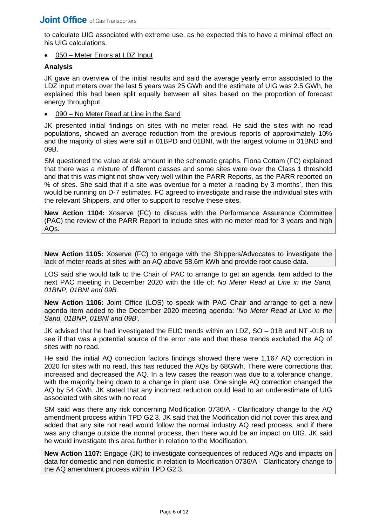to calculate UIG associated with extreme use, as he expected this to have a minimal effect on his UIG calculations.

• 050 – Meter Errors at LDZ Input

#### **Analysis**

JK gave an overview of the initial results and said the average yearly error associated to the LDZ input meters over the last 5 years was 25 GWh and the estimate of UIG was 2.5 GWh, he explained this had been split equally between all sites based on the proportion of forecast energy throughput.

090 – No Meter Read at Line in the Sand

JK presented initial findings on sites with no meter read. He said the sites with no read populations, showed an average reduction from the previous reports of approximately 10% and the majority of sites were still in 01BPD and 01BNI, with the largest volume in 01BND and 09B.

SM questioned the value at risk amount in the schematic graphs. Fiona Cottam (FC) explained that there was a mixture of different classes and some sites were over the Class 1 threshold and that this was might not show very well within the PARR Reports, as the PARR reported on % of sites. She said that if a site was overdue for a meter a reading by 3 months', then this would be running on D-7 estimates. FC agreed to investigate and raise the individual sites with the relevant Shippers, and offer to support to resolve these sites.

**New Action 1104:** Xoserve (FC) to discuss with the Performance Assurance Committee (PAC) the review of the PARR Report to include sites with no meter read for 3 years and high AQs.

**New Action 1105:** Xoserve (FC) to engage with the Shippers/Advocates to investigate the lack of meter reads at sites with an AQ above 58.6m kWh and provide root cause data.

LOS said she would talk to the Chair of PAC to arrange to get an agenda item added to the next PAC meeting in December 2020 with the title of: *No Meter Read at Line in the Sand, 01BNP, 01BNI and 09B.*

**New Action 1106:** Joint Office (LOS) to speak with PAC Chair and arrange to get a new agenda item added to the December 2020 meeting agenda: '*No Meter Read at Line in the Sand, 01BNP, 01BNI and 09B'.*

JK advised that he had investigated the EUC trends within an LDZ, SO – 01B and NT -01B to see if that was a potential source of the error rate and that these trends excluded the AQ of sites with no read.

He said the initial AQ correction factors findings showed there were 1,167 AQ correction in 2020 for sites with no read, this has reduced the AQs by 68GWh. There were corrections that increased and decreased the AQ. In a few cases the reason was due to a tolerance change, with the majority being down to a change in plant use. One single AQ correction changed the AQ by 54 GWh. JK stated that any incorrect reduction could lead to an underestimate of UIG associated with sites with no read

SM said was there any risk concerning Modification 0736/A - Clarificatory change to the AQ amendment process within TPD G2.3. JK said that the Modification did not cover this area and added that any site not read would follow the normal industry AQ read process, and if there was any change outside the normal process, then there would be an impact on UIG. JK said he would investigate this area further in relation to the Modification.

**New Action 1107:** Engage (JK) to investigate consequences of reduced AQs and impacts on data for domestic and non-domestic in relation to Modification 0736/A - Clarificatory change to the AQ amendment process within TPD G2.3.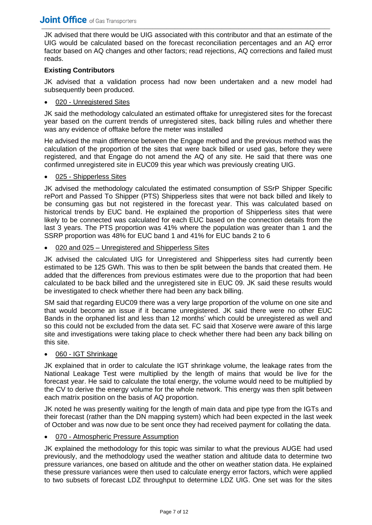JK advised that there would be UIG associated with this contributor and that an estimate of the UIG would be calculated based on the forecast reconciliation percentages and an AQ error factor based on AQ changes and other factors; read rejections, AQ corrections and failed must reads.

#### **Existing Contributors**

JK advised that a validation process had now been undertaken and a new model had subsequently been produced.

#### 020 - Unregistered Sites

JK said the methodology calculated an estimated offtake for unregistered sites for the forecast year based on the current trends of unregistered sites, back billing rules and whether there was any evidence of offtake before the meter was installed

He advised the main difference between the Engage method and the previous method was the calculation of the proportion of the sites that were back billed or used gas, before they were registered, and that Engage do not amend the AQ of any site. He said that there was one confirmed unregistered site in EUC09 this year which was previously creating UIG.

#### 025 - Shipperless Sites

JK advised the methodology calculated the estimated consumption of SSrP Shipper Specific rePort and Passed To Shipper (PTS) Shipperless sites that were not back billed and likely to be consuming gas but not registered in the forecast year. This was calculated based on historical trends by EUC band. He explained the proportion of Shipperless sites that were likely to be connected was calculated for each EUC based on the connection details from the last 3 years. The PTS proportion was 41% where the population was greater than 1 and the SSRP proportion was 48% for EUC band 1 and 41% for EUC bands 2 to 6

020 and 025 – Unregistered and Shipperless Sites

JK advised the calculated UIG for Unregistered and Shipperless sites had currently been estimated to be 125 GWh. This was to then be split between the bands that created them. He added that the differences from previous estimates were due to the proportion that had been calculated to be back billed and the unregistered site in EUC 09. JK said these results would be investigated to check whether there had been any back billing.

SM said that regarding EUC09 there was a very large proportion of the volume on one site and that would become an issue if it became unregistered. JK said there were no other EUC Bands in the orphaned list and less than 12 months' which could be unregistered as well and so this could not be excluded from the data set. FC said that Xoserve were aware of this large site and investigations were taking place to check whether there had been any back billing on this site.

#### • 060 - IGT Shrinkage

JK explained that in order to calculate the IGT shrinkage volume, the leakage rates from the National Leakage Test were multiplied by the length of mains that would be live for the forecast year. He said to calculate the total energy, the volume would need to be multiplied by the CV to derive the energy volume for the whole network. This energy was then split between each matrix position on the basis of AQ proportion.

JK noted he was presently waiting for the length of main data and pipe type from the IGTs and their forecast (rather than the DN mapping system) which had been expected in the last week of October and was now due to be sent once they had received payment for collating the data.

#### • 070 - Atmospheric Pressure Assumption

JK explained the methodology for this topic was similar to what the previous AUGE had used previously, and the methodology used the weather station and altitude data to determine two pressure variances, one based on altitude and the other on weather station data. He explained these pressure variances were then used to calculate energy error factors, which were applied to two subsets of forecast LDZ throughput to determine LDZ UIG. One set was for the sites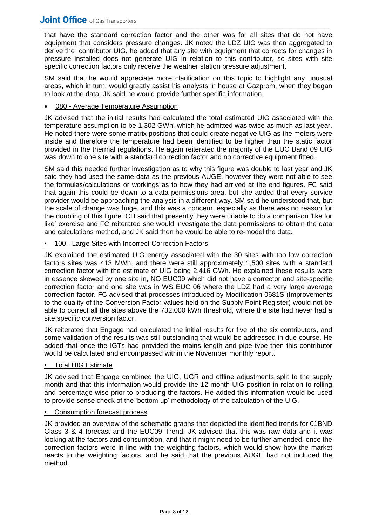#### **Joint Office** of Gas Transporters \_\_\_\_\_\_\_\_\_\_\_\_\_\_\_\_\_\_\_\_\_\_\_\_\_\_\_\_\_\_\_\_\_\_\_\_\_\_\_\_\_\_\_\_\_\_\_\_\_\_\_\_\_\_\_\_\_\_\_\_\_\_\_\_\_\_\_\_\_\_\_\_\_\_\_\_\_\_\_\_\_\_\_\_\_\_\_\_\_\_\_\_\_\_\_\_\_\_\_\_\_\_\_\_

that have the standard correction factor and the other was for all sites that do not have equipment that considers pressure changes. JK noted the LDZ UIG was then aggregated to derive the contributor UIG, he added that any site with equipment that corrects for changes in pressure installed does not generate UIG in relation to this contributor, so sites with site specific correction factors only receive the weather station pressure adjustment.

SM said that he would appreciate more clarification on this topic to highlight any unusual areas, which in turn, would greatly assist his analysts in house at Gazprom, when they began to look at the data. JK said he would provide further specific information.

#### • 080 - Average Temperature Assumption

JK advised that the initial results had calculated the total estimated UIG associated with the temperature assumption to be 1,302 GWh, which he admitted was twice as much as last year. He noted there were some matrix positions that could create negative UIG as the meters were inside and therefore the temperature had been identified to be higher than the static factor provided in the thermal regulations. He again reiterated the majority of the EUC Band 09 UIG was down to one site with a standard correction factor and no corrective equipment fitted.

SM said this needed further investigation as to why this figure was double to last year and JK said they had used the same data as the previous AUGE, however they were not able to see the formulas/calculations or workings as to how they had arrived at the end figures. FC said that again this could be down to a data permissions area, but she added that every service provider would be approaching the analysis in a different way. SM said he understood that, but the scale of change was huge, and this was a concern, especially as there was no reason for the doubling of this figure. CH said that presently they were unable to do a comparison 'like for like' exercise and FC reiterated she would investigate the data permissions to obtain the data and calculations method, and JK said then he would be able to re-model the data.

#### • 100 - Large Sites with Incorrect Correction Factors

JK explained the estimated UIG energy associated with the 30 sites with too low correction factors sites was 413 MWh, and there were still approximately 1,500 sites with a standard correction factor with the estimate of UIG being 2,416 GWh. He explained these results were in essence skewed by one site in, NO EUC09 which did not have a corrector and site-specific correction factor and one site was in WS EUC 06 where the LDZ had a very large average correction factor. FC advised that processes introduced by Modification 0681S (Improvements to the quality of the Conversion Factor values held on the Supply Point Register) would not be able to correct all the sites above the 732,000 kWh threshold, where the site had never had a site specific conversion factor.

JK reiterated that Engage had calculated the initial results for five of the six contributors, and some validation of the results was still outstanding that would be addressed in due course. He added that once the IGTs had provided the mains length and pipe type then this contributor would be calculated and encompassed within the November monthly report.

#### • Total UIG Estimate

JK advised that Engage combined the UIG, UGR and offline adjustments split to the supply month and that this information would provide the 12-month UIG position in relation to rolling and percentage wise prior to producing the factors. He added this information would be used to provide sense check of the 'bottom up' methodology of the calculation of the UIG.

#### • Consumption forecast process

JK provided an overview of the schematic graphs that depicted the identified trends for 01BND Class 3 & 4 forecast and the EUC09 Trend. JK advised that this was raw data and it was looking at the factors and consumption, and that it might need to be further amended, once the correction factors were in-line with the weighting factors, which would show how the market reacts to the weighting factors, and he said that the previous AUGE had not included the method.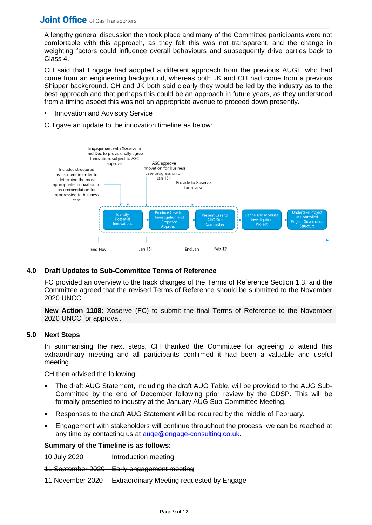A lengthy general discussion then took place and many of the Committee participants were not comfortable with this approach, as they felt this was not transparent, and the change in weighting factors could influence overall behaviours and subsequently drive parties back to Class 4.

CH said that Engage had adopted a different approach from the previous AUGE who had come from an engineering background, whereas both JK and CH had come from a previous Shipper background. CH and JK both said clearly they would be led by the industry as to the best approach and that perhaps this could be an approach in future years, as they understood from a timing aspect this was not an appropriate avenue to proceed down presently.

#### • Innovation and Advisory Service

CH gave an update to the innovation timeline as below:



#### **4.0 Draft Updates to Sub-Committee Terms of Reference**

FC provided an overview to the track changes of the Terms of Reference Section 1.3, and the Committee agreed that the revised Terms of Reference should be submitted to the November 2020 UNCC.

**New Action 1108:** Xoserve (FC) to submit the final Terms of Reference to the November 2020 UNCC for approval.

#### **5.0 Next Steps**

In summarising the next steps, CH thanked the Committee for agreeing to attend this extraordinary meeting and all participants confirmed it had been a valuable and useful meeting.

CH then advised the following:

- The draft AUG Statement, including the draft AUG Table, will be provided to the AUG Sub-Committee by the end of December following prior review by the CDSP. This will be formally presented to industry at the January AUG Sub-Committee Meeting.
- Responses to the draft AUG Statement will be required by the middle of February.
- Engagement with stakeholders will continue throughout the process, we can be reached at any time by contacting us at [auge@engage-consulting.co.uk.](mailto:auge@engage-consulting.co.uk)

#### **Summary of the Timeline is as follows:**

10 July 2020 Introduction meeting

11 September 2020 Early engagement meeting

11 November 2020 Extraordinary Meeting requested by Engage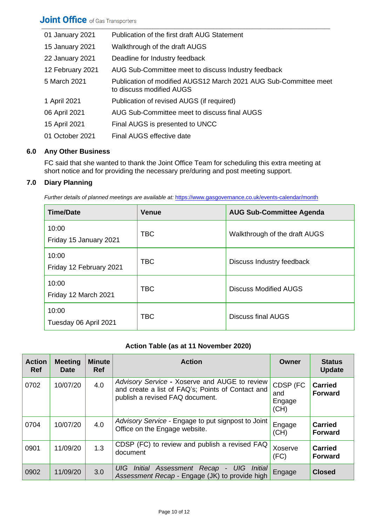| 01 January 2021  | Publication of the first draft AUG Statement                                                 |
|------------------|----------------------------------------------------------------------------------------------|
| 15 January 2021  | Walkthrough of the draft AUGS                                                                |
| 22 January 2021  | Deadline for Industry feedback                                                               |
| 12 February 2021 | AUG Sub-Committee meet to discuss Industry feedback                                          |
| 5 March 2021     | Publication of modified AUGS12 March 2021 AUG Sub-Committee meet<br>to discuss modified AUGS |
| 1 April 2021     | Publication of revised AUGS (if required)                                                    |
| 06 April 2021    | AUG Sub-Committee meet to discuss final AUGS                                                 |
| 15 April 2021    | Final AUGS is presented to UNCC                                                              |
| 01 October 2021  | Final AUGS effective date                                                                    |

#### **6.0 Any Other Business**

FC said that she wanted to thank the Joint Office Team for scheduling this extra meeting at short notice and for providing the necessary pre/during and post meeting support.

#### **7.0 Diary Planning**

*Further details of planned meetings are available at:* <https://www.gasgovernance.co.uk/events-calendar/month>

| <b>Time/Date</b>                 | <b>Venue</b> | <b>AUG Sub-Committee Agenda</b> |
|----------------------------------|--------------|---------------------------------|
| 10:00<br>Friday 15 January 2021  | <b>TBC</b>   | Walkthrough of the draft AUGS   |
| 10:00<br>Friday 12 February 2021 | <b>TBC</b>   | Discuss Industry feedback       |
| 10:00<br>Friday 12 March 2021    | <b>TBC</b>   | <b>Discuss Modified AUGS</b>    |
| 10:00<br>Tuesday 06 April 2021   | <b>TBC</b>   | Discuss final AUGS              |

### **Action Table (as at 11 November 2020)**

| <b>Action</b><br><b>Ref</b> | <b>Meeting</b><br><b>Date</b> | <b>Minute</b><br><b>Ref</b> | <b>Action</b>                                                                                                                         | Owner                             | <b>Status</b><br><b>Update</b>   |
|-----------------------------|-------------------------------|-----------------------------|---------------------------------------------------------------------------------------------------------------------------------------|-----------------------------------|----------------------------------|
| 0702                        | 10/07/20                      | 4.0                         | Advisory Service - Xoserve and AUGE to review<br>and create a list of FAQ's; Points of Contact and<br>publish a revised FAQ document. | CDSP (FC<br>and<br>Engage<br>(CH) | <b>Carried</b><br><b>Forward</b> |
| 0704                        | 10/07/20                      | 4.0                         | Advisory Service - Engage to put signpost to Joint<br>Office on the Engage website.                                                   | Engage<br>(CH)                    | <b>Carried</b><br><b>Forward</b> |
| 0901                        | 11/09/20                      | 1.3                         | CDSP (FC) to review and publish a revised FAQ<br>document                                                                             | Xoserve<br>(FC)                   | <b>Carried</b><br><b>Forward</b> |
| 0902                        | 11/09/20                      | 3.0                         | Initial Assessment Recap<br>UIG Initial<br>UIG<br>$\blacksquare$<br>Assessment Recap - Engage (JK) to provide high                    | Engage                            | <b>Closed</b>                    |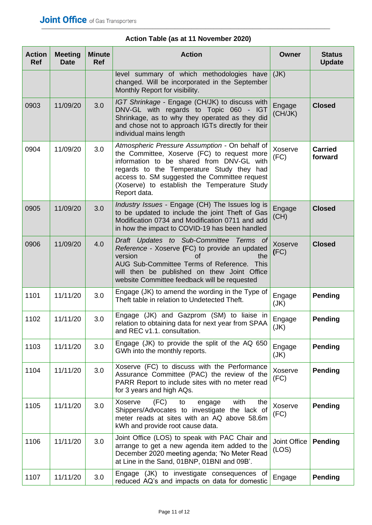| <b>Action</b><br><b>Ref</b> | <b>Meeting</b><br><b>Date</b> | <b>Minute</b><br><b>Ref</b> | <b>Action</b>                                                                                                                                                                                                                                                                                            | <b>Owner</b>          | <b>Status</b><br><b>Update</b> |
|-----------------------------|-------------------------------|-----------------------------|----------------------------------------------------------------------------------------------------------------------------------------------------------------------------------------------------------------------------------------------------------------------------------------------------------|-----------------------|--------------------------------|
|                             |                               |                             | level summary of which methodologies have<br>changed. Will be incorporated in the September<br>Monthly Report for visibility.                                                                                                                                                                            | (JK)                  |                                |
| 0903                        | 11/09/20                      | 3.0                         | IGT Shrinkage - Engage (CH/JK) to discuss with<br>DNV-GL with regards to Topic 060 - IGT<br>Shrinkage, as to why they operated as they did<br>and chose not to approach IGTs directly for their<br>individual mains length                                                                               | Engage<br>(CH/JK)     | <b>Closed</b>                  |
| 0904                        | 11/09/20                      | 3.0                         | Atmospheric Pressure Assumption - On behalf of<br>the Committee, Xoserve (FC) to request more<br>information to be shared from DNV-GL with<br>regards to the Temperature Study they had<br>access to. SM suggested the Committee request<br>(Xoserve) to establish the Temperature Study<br>Report data. | Xoserve<br>(FC)       | <b>Carried</b><br>forward      |
| 0905                        | 11/09/20                      | 3.0                         | Industry Issues - Engage (CH) The Issues log is<br>to be updated to include the joint Theft of Gas<br>Modification 0734 and Modification 0711 and add<br>in how the impact to COVID-19 has been handled                                                                                                  | Engage<br>(CH)        | <b>Closed</b>                  |
| 0906                        | 11/09/20                      | 4.0                         | Draft Updates to Sub-Committee Terms of<br>Reference - Xoserve (FC) to provide an updated<br><b>of</b><br>version<br>the<br>AUG Sub-Committee Terms of Reference.<br>This<br>will then be published on thew Joint Office<br>website Committee feedback will be requested                                 | Xoserve<br>(FC)       | <b>Closed</b>                  |
| 1101                        | 11/11/20                      | 3.0                         | Engage (JK) to amend the wording in the Type of<br>Theft table in relation to Undetected Theft.                                                                                                                                                                                                          | Engage<br>(JK)        | <b>Pending</b>                 |
| 1102                        | 11/11/20                      | 3.0                         | Engage (JK) and Gazprom (SM) to liaise in<br>relation to obtaining data for next year from SPAA<br>and REC v1.1. consultation.                                                                                                                                                                           | Engage<br>(JK)        | <b>Pending</b>                 |
| 1103                        | 11/11/20                      | 3.0                         | Engage (JK) to provide the split of the AQ 650<br>GWh into the monthly reports.                                                                                                                                                                                                                          | Engage<br>(JK)        | Pending                        |
| 1104                        | 11/11/20                      | 3.0                         | Xoserve (FC) to discuss with the Performance<br>Assurance Committee (PAC) the review of the<br>PARR Report to include sites with no meter read<br>for 3 years and high AQs.                                                                                                                              | Xoserve<br>(FC)       | Pending                        |
| 1105                        | 11/11/20                      | 3.0                         | (FC)<br>Xoserve<br>to<br>with<br>engage<br>the<br>Shippers/Advocates to investigate the lack of<br>meter reads at sites with an AQ above 58.6m<br>kWh and provide root cause data.                                                                                                                       | Xoserve<br>(FC)       | Pending                        |
| 1106                        | 11/11/20                      | 3.0                         | Joint Office (LOS) to speak with PAC Chair and<br>arrange to get a new agenda item added to the<br>December 2020 meeting agenda; 'No Meter Read<br>at Line in the Sand, 01BNP, 01BNI and 09B'.                                                                                                           | Joint Office<br>(LOS) | Pending                        |
| 1107                        | 11/11/20                      | 3.0                         | Engage (JK) to investigate consequences of<br>reduced AQ's and impacts on data for domestic                                                                                                                                                                                                              | Engage                | Pending                        |

## **Action Table (as at 11 November 2020)**